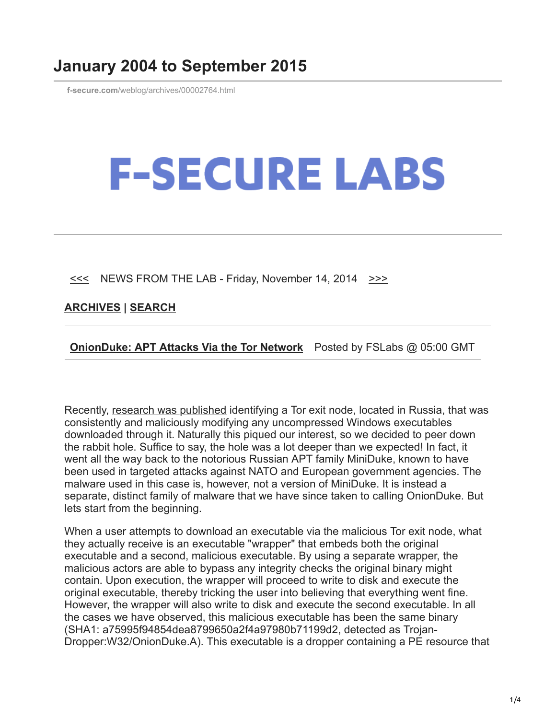## **January 2004 to September 2015**

**f-secure.com**[/weblog/archives/00002764.html](https://www.f-secure.com/weblog/archives/00002764.html)

## **F-SECURE LABS**

 $\leq$  NEWS FROM THE LAB - Friday, November 14, 2014  $\geq$ 

**[ARCHIVES](https://www.f-secure.com/weblog/archives/) | [SEARCH](https://www.bing.com/search?q=site:f-secure.com/weblog)**

**[OnionDuke: APT Attacks Via the Tor Network](https://www.f-secure.com/weblog/archives/00002764.html)** Posted by FSLabs @ 05:00 GMT

Recently, [research was published](http://www.leviathansecurity.com/blog/the-case-of-the-modified-binaries/) identifying a Tor exit node, located in Russia, that was consistently and maliciously modifying any uncompressed Windows executables downloaded through it. Naturally this piqued our interest, so we decided to peer down the rabbit hole. Suffice to say, the hole was a lot deeper than we expected! In fact, it went all the way back to the notorious Russian APT family MiniDuke, known to have been used in targeted attacks against NATO and European government agencies. The malware used in this case is, however, not a version of MiniDuke. It is instead a separate, distinct family of malware that we have since taken to calling OnionDuke. But lets start from the beginning.

When a user attempts to download an executable via the malicious Tor exit node, what they actually receive is an executable "wrapper" that embeds both the original executable and a second, malicious executable. By using a separate wrapper, the malicious actors are able to bypass any integrity checks the original binary might contain. Upon execution, the wrapper will proceed to write to disk and execute the original executable, thereby tricking the user into believing that everything went fine. However, the wrapper will also write to disk and execute the second executable. In all the cases we have observed, this malicious executable has been the same binary (SHA1: a75995f94854dea8799650a2f4a97980b71199d2, detected as Trojan-Dropper:W32/OnionDuke.A). This executable is a dropper containing a PE resource that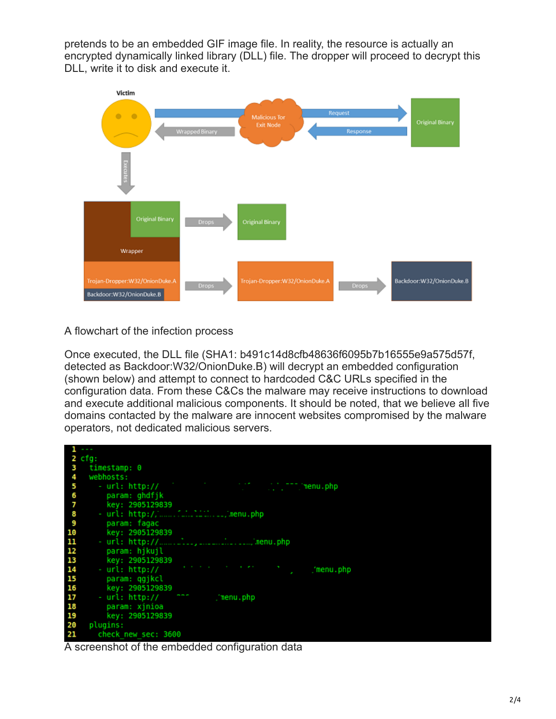pretends to be an embedded GIF image file. In reality, the resource is actually an encrypted dynamically linked library (DLL) file. The dropper will proceed to decrypt this DLL, write it to disk and execute it.



A flowchart of the infection process

Once executed, the DLL file (SHA1: b491c14d8cfb48636f6095b7b16555e9a575d57f, detected as Backdoor:W32/OnionDuke.B) will decrypt an embedded configuration (shown below) and attempt to connect to hardcoded C&C URLs specified in the configuration data. From these C&Cs the malware may receive instructions to download and execute additional malicious components. It should be noted, that we believe all five domains contacted by the malware are innocent websites compromised by the malware operators, not dedicated malicious servers.



A screenshot of the embedded configuration data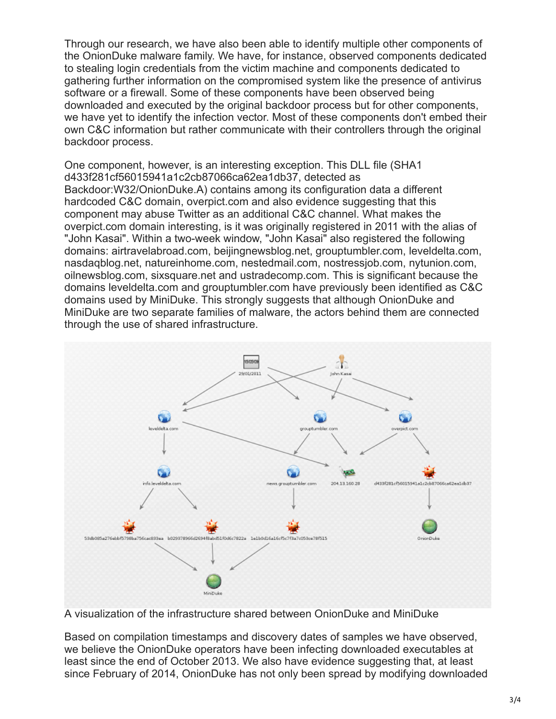Through our research, we have also been able to identify multiple other components of the OnionDuke malware family. We have, for instance, observed components dedicated to stealing login credentials from the victim machine and components dedicated to gathering further information on the compromised system like the presence of antivirus software or a firewall. Some of these components have been observed being downloaded and executed by the original backdoor process but for other components, we have yet to identify the infection vector. Most of these components don't embed their own C&C information but rather communicate with their controllers through the original backdoor process.

One component, however, is an interesting exception. This DLL file (SHA1 d433f281cf56015941a1c2cb87066ca62ea1db37, detected as Backdoor:W32/OnionDuke.A) contains among its configuration data a different hardcoded C&C domain, overpict.com and also evidence suggesting that this component may abuse Twitter as an additional C&C channel. What makes the overpict.com domain interesting, is it was originally registered in 2011 with the alias of "John Kasai". Within a two-week window, "John Kasai" also registered the following domains: airtravelabroad.com, beijingnewsblog.net, grouptumbler.com, leveldelta.com, nasdaqblog.net, natureinhome.com, nestedmail.com, nostressjob.com, nytunion.com, oilnewsblog.com, sixsquare.net and ustradecomp.com. This is significant because the domains leveldelta.com and grouptumbler.com have previously been identified as C&C domains used by MiniDuke. This strongly suggests that although OnionDuke and MiniDuke are two separate families of malware, the actors behind them are connected through the use of shared infrastructure.



A visualization of the infrastructure shared between OnionDuke and MiniDuke

Based on compilation timestamps and discovery dates of samples we have observed, we believe the OnionDuke operators have been infecting downloaded executables at least since the end of October 2013. We also have evidence suggesting that, at least since February of 2014, OnionDuke has not only been spread by modifying downloaded